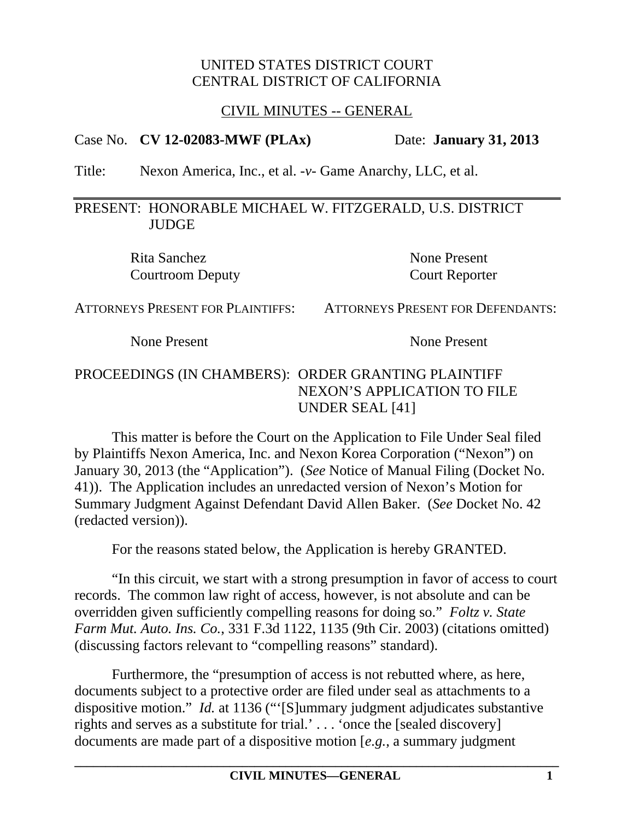#### UNITED STATES DISTRICT COURT CENTRAL DISTRICT OF CALIFORNIA

### CIVIL MINUTES -- GENERAL

#### Case No. **CV 12-02083-MWF (PLAx)** Date: **January 31, 2013**

Title: Nexon America, Inc., et al. -*v*- Game Anarchy, LLC, et al.

### PRESENT: HONORABLE MICHAEL W. FITZGERALD, U.S. DISTRICT **JUDGE**

Rita Sanchez None Present Courtroom Deputy Court Reporter

ATTORNEYS PRESENT FOR PLAINTIFFS: ATTORNEYS PRESENT FOR DEFENDANTS:

None Present None Present

# PROCEEDINGS (IN CHAMBERS): ORDER GRANTING PLAINTIFF NEXON'S APPLICATION TO FILE UNDER SEAL [41]

This matter is before the Court on the Application to File Under Seal filed by Plaintiffs Nexon America, Inc. and Nexon Korea Corporation ("Nexon") on January 30, 2013 (the "Application"). (*See* Notice of Manual Filing (Docket No. 41)). The Application includes an unredacted version of Nexon's Motion for Summary Judgment Against Defendant David Allen Baker. (*See* Docket No. 42 (redacted version)).

For the reasons stated below, the Application is hereby GRANTED.

"In this circuit, we start with a strong presumption in favor of access to court records. The common law right of access, however, is not absolute and can be overridden given sufficiently compelling reasons for doing so." *Foltz v. State Farm Mut. Auto. Ins. Co.*, 331 F.3d 1122, 1135 (9th Cir. 2003) (citations omitted) (discussing factors relevant to "compelling reasons" standard).

Furthermore, the "presumption of access is not rebutted where, as here, documents subject to a protective order are filed under seal as attachments to a dispositive motion." *Id.* at 1136 ("'[S]ummary judgment adjudicates substantive rights and serves as a substitute for trial.' . . . 'once the [sealed discovery] documents are made part of a dispositive motion [*e.g.*, a summary judgment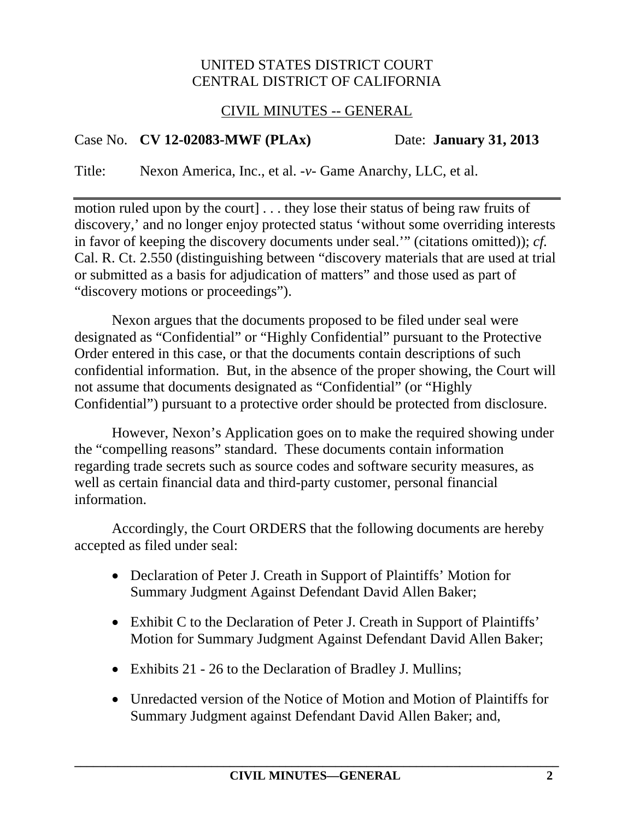### UNITED STATES DISTRICT COURT CENTRAL DISTRICT OF CALIFORNIA

### CIVIL MINUTES -- GENERAL

# Case No. **CV 12-02083-MWF (PLAx)** Date: **January 31, 2013**

Title: Nexon America, Inc., et al. -*v*- Game Anarchy, LLC, et al.

motion ruled upon by the court] . . . they lose their status of being raw fruits of discovery,' and no longer enjoy protected status 'without some overriding interests in favor of keeping the discovery documents under seal.'" (citations omitted)); *cf.* Cal. R. Ct. 2.550 (distinguishing between "discovery materials that are used at trial or submitted as a basis for adjudication of matters" and those used as part of "discovery motions or proceedings").

Nexon argues that the documents proposed to be filed under seal were designated as "Confidential" or "Highly Confidential" pursuant to the Protective Order entered in this case, or that the documents contain descriptions of such confidential information. But, in the absence of the proper showing, the Court will not assume that documents designated as "Confidential" (or "Highly Confidential") pursuant to a protective order should be protected from disclosure.

However, Nexon's Application goes on to make the required showing under the "compelling reasons" standard. These documents contain information regarding trade secrets such as source codes and software security measures, as well as certain financial data and third-party customer, personal financial information.

Accordingly, the Court ORDERS that the following documents are hereby accepted as filed under seal:

- Declaration of Peter J. Creath in Support of Plaintiffs' Motion for Summary Judgment Against Defendant David Allen Baker;
- Exhibit C to the Declaration of Peter J. Creath in Support of Plaintiffs' Motion for Summary Judgment Against Defendant David Allen Baker;
- Exhibits 21 26 to the Declaration of Bradley J. Mullins;
- Unredacted version of the Notice of Motion and Motion of Plaintiffs for Summary Judgment against Defendant David Allen Baker; and,